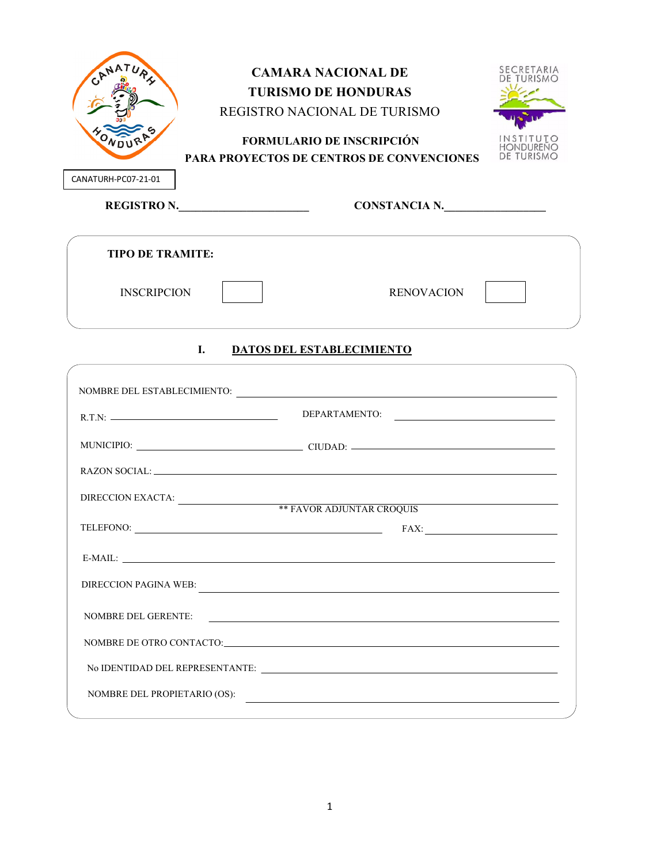| ONDUR                        |                                                                                                                                | <b>CAMARA NACIONAL DE</b><br><b>TURISMO DE HONDURAS</b><br>REGISTRO NACIONAL DE TURISMO<br><b>FORMULARIO DE INSCRIPCIÓN</b><br><b>PARA PROYECTOS DE CENTROS DE CONVENCIONES</b>                                                | SECRETARIA<br>jrismo<br>INSTITUTO<br><b>HONDURENO</b><br>DE TURISMO |
|------------------------------|--------------------------------------------------------------------------------------------------------------------------------|--------------------------------------------------------------------------------------------------------------------------------------------------------------------------------------------------------------------------------|---------------------------------------------------------------------|
| CANATURH-PC07-21-01          |                                                                                                                                |                                                                                                                                                                                                                                |                                                                     |
|                              | REGISTRO N.                                                                                                                    | CONSTANCIA N.                                                                                                                                                                                                                  |                                                                     |
| <b>TIPO DE TRAMITE:</b>      |                                                                                                                                |                                                                                                                                                                                                                                |                                                                     |
| <b>INSCRIPCION</b>           |                                                                                                                                | <b>RENOVACION</b>                                                                                                                                                                                                              |                                                                     |
|                              | L                                                                                                                              | <b>DATOS DEL ESTABLECIMIENTO</b>                                                                                                                                                                                               |                                                                     |
|                              |                                                                                                                                |                                                                                                                                                                                                                                |                                                                     |
|                              | R.T.N:                                                                                                                         | DEPARTAMENTO:                                                                                                                                                                                                                  |                                                                     |
|                              |                                                                                                                                |                                                                                                                                                                                                                                |                                                                     |
|                              |                                                                                                                                | MUNICIPIO: CIUDAD:                                                                                                                                                                                                             |                                                                     |
|                              |                                                                                                                                |                                                                                                                                                                                                                                |                                                                     |
|                              | DIRECCION EXACTA:<br>$\begin{array}{c} \begin{array}{c} \text{\bf \texttt{**} FAVOR ADJUNTAR CROQUIS} \end{array} \end{array}$ |                                                                                                                                                                                                                                |                                                                     |
| TELEFONO:                    |                                                                                                                                | FAX:                                                                                                                                                                                                                           |                                                                     |
|                              |                                                                                                                                |                                                                                                                                                                                                                                |                                                                     |
|                              |                                                                                                                                | DIRECCION PAGINA WEB: New York Contract the Contract of the Contract of the Contract of the Contract of the Contract of the Contract of the Contract of the Contract of the Contract of the Contract of the Contract of the Co |                                                                     |
| <b>NOMBRE DEL GERENTE:</b>   |                                                                                                                                | <u> 1989 - Johann Harry Harry Harry Harry Harry Harry Harry Harry Harry Harry Harry Harry Harry Harry Harry Harry</u>                                                                                                          |                                                                     |
|                              |                                                                                                                                |                                                                                                                                                                                                                                |                                                                     |
|                              |                                                                                                                                | No IDENTIDAD DEL REPRESENTANTE: $\_\_$                                                                                                                                                                                         |                                                                     |
| NOMBRE DEL PROPIETARIO (OS): |                                                                                                                                | <u> 1980 - Andrea Station, amerikan bestean ingilandi.</u>                                                                                                                                                                     |                                                                     |
|                              |                                                                                                                                |                                                                                                                                                                                                                                |                                                                     |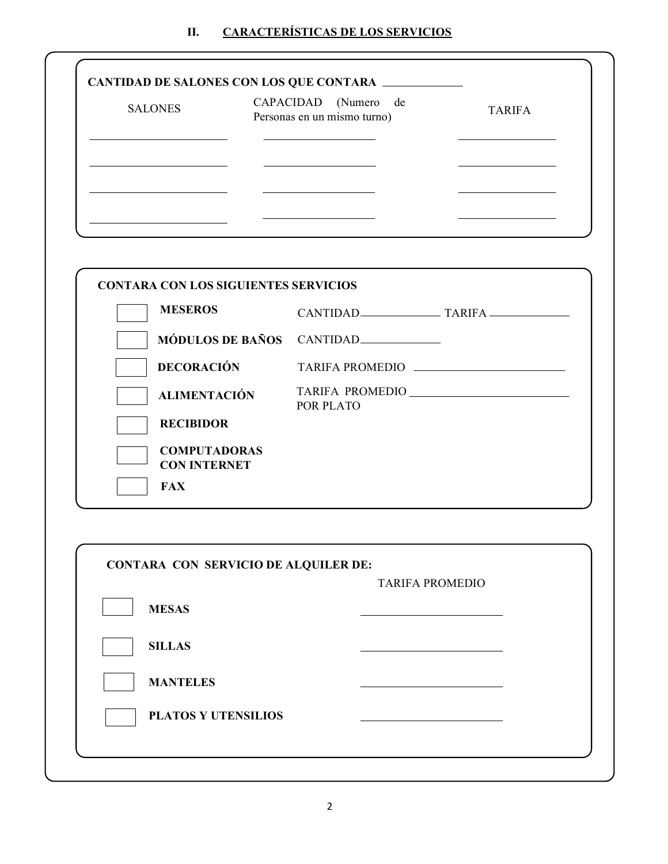| <b>SALONES</b>                              | CAPACIDAD (Numero de<br>Personas en un mismo turno) | <b>TARIFA</b>          |
|---------------------------------------------|-----------------------------------------------------|------------------------|
|                                             |                                                     |                        |
|                                             |                                                     |                        |
|                                             |                                                     |                        |
| <b>CONTARA CON LOS SIGUIENTES SERVICIOS</b> |                                                     |                        |
| <b>MESEROS</b>                              |                                                     |                        |
| <b>MÓDULOS DE BAÑOS</b>                     | CANTIDAD                                            |                        |
| <b>DECORACIÓN</b>                           |                                                     | TARIFA PROMEDIO        |
| <b>ALIMENTACIÓN</b>                         | POR PLATO                                           | TARIFA PROMEDIO        |
| <b>RECIBIDOR</b>                            |                                                     |                        |
| <b>COMPUTADORAS</b><br><b>CON INTERNET</b>  |                                                     |                        |
| <b>FAX</b>                                  |                                                     |                        |
|                                             |                                                     |                        |
| CONTARA CON SERVICIO DE ALQUILER DE:        |                                                     |                        |
|                                             |                                                     | <b>TARIFA PROMEDIO</b> |
| <b>MESAS</b>                                |                                                     |                        |
| <b>SILLAS</b>                               |                                                     |                        |
| <b>MANTELES</b>                             |                                                     |                        |
| PLATOS Y UTENSILIOS                         |                                                     |                        |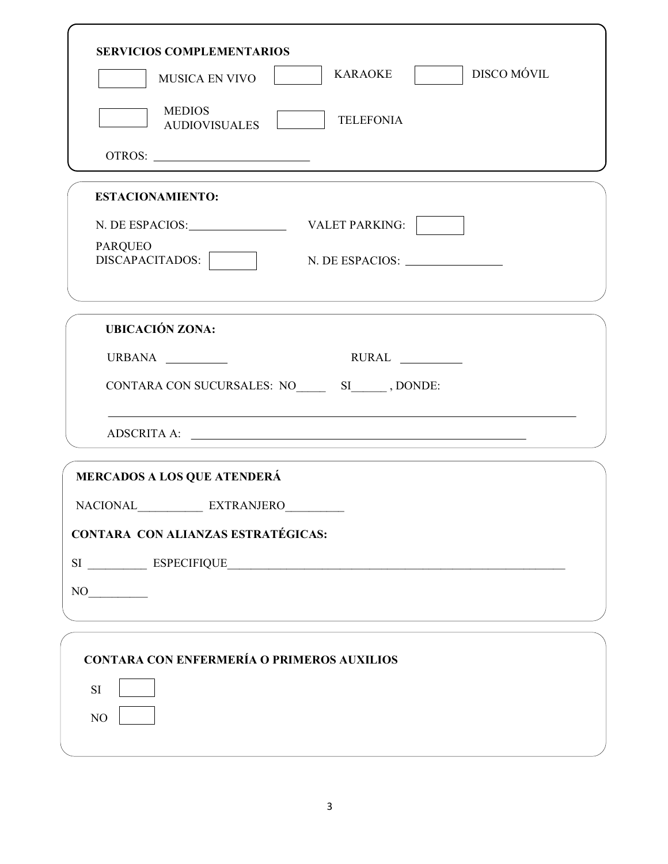| <b>SERVICIOS COMPLEMENTARIOS</b>                                                                                                                                                                                                                                                                                                                                                            |  |  |  |
|---------------------------------------------------------------------------------------------------------------------------------------------------------------------------------------------------------------------------------------------------------------------------------------------------------------------------------------------------------------------------------------------|--|--|--|
| DISCO MÓVIL<br>KARAOKE<br><b>MUSICA EN VIVO</b>                                                                                                                                                                                                                                                                                                                                             |  |  |  |
| <b>MEDIOS</b><br><b>TELEFONIA</b><br><b>AUDIOVISUALES</b>                                                                                                                                                                                                                                                                                                                                   |  |  |  |
| $OTROS: \begin{tabular}{c} \multicolumn{2}{c} {\textbf \texttt{OTROS:}} \end{tabular}$                                                                                                                                                                                                                                                                                                      |  |  |  |
| <b>ESTACIONAMIENTO:</b>                                                                                                                                                                                                                                                                                                                                                                     |  |  |  |
|                                                                                                                                                                                                                                                                                                                                                                                             |  |  |  |
| <b>PARQUEO</b>                                                                                                                                                                                                                                                                                                                                                                              |  |  |  |
| <u> 1989 - Johann Stoff, amerikansk politiker (d. 1989)</u><br><b>UBICACIÓN ZONA:</b>                                                                                                                                                                                                                                                                                                       |  |  |  |
| RURAL<br>URBANA                                                                                                                                                                                                                                                                                                                                                                             |  |  |  |
| CONTARA CON SUCURSALES: NO<br>SI<br>SI<br>SI<br>DONDE:                                                                                                                                                                                                                                                                                                                                      |  |  |  |
|                                                                                                                                                                                                                                                                                                                                                                                             |  |  |  |
| <b>MERCADOS A LOS QUE ATENDERÁ</b>                                                                                                                                                                                                                                                                                                                                                          |  |  |  |
| NACIONAL_______________ EXTRANJERO                                                                                                                                                                                                                                                                                                                                                          |  |  |  |
| <b>CONTARA CON ALIANZAS ESTRATÉGICAS:</b>                                                                                                                                                                                                                                                                                                                                                   |  |  |  |
|                                                                                                                                                                                                                                                                                                                                                                                             |  |  |  |
| $\begin{picture}(150,10) \put(0,0){\dashbox{0.5}(10,0){ }} \put(15,0){\circle{10}} \put(15,0){\circle{10}} \put(15,0){\circle{10}} \put(15,0){\circle{10}} \put(15,0){\circle{10}} \put(15,0){\circle{10}} \put(15,0){\circle{10}} \put(15,0){\circle{10}} \put(15,0){\circle{10}} \put(15,0){\circle{10}} \put(15,0){\circle{10}} \put(15,0){\circle{10}} \put(15,0){\circle{10}} \put(15$ |  |  |  |
|                                                                                                                                                                                                                                                                                                                                                                                             |  |  |  |
| <b>CONTARA CON ENFERMERÍA O PRIMEROS AUXILIOS</b>                                                                                                                                                                                                                                                                                                                                           |  |  |  |
| <b>SI</b>                                                                                                                                                                                                                                                                                                                                                                                   |  |  |  |
| NO                                                                                                                                                                                                                                                                                                                                                                                          |  |  |  |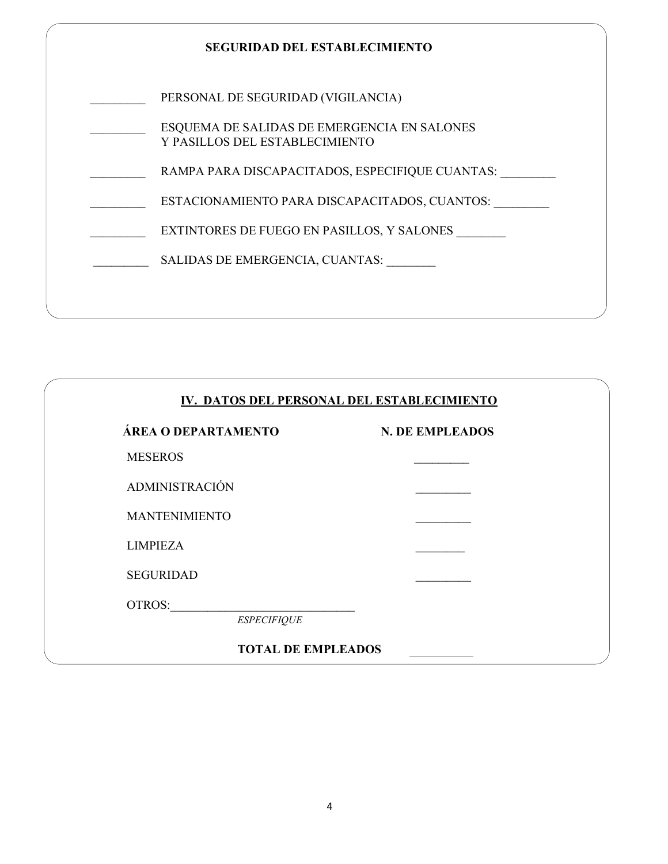| <b>SEGURIDAD DEL ESTABLECIMIENTO</b> |                                                                               |  |
|--------------------------------------|-------------------------------------------------------------------------------|--|
|                                      | PERSONAL DE SEGURIDAD (VIGILANCIA)                                            |  |
|                                      | ESQUEMA DE SALIDAS DE EMERGENCIA EN SALONES<br>Y PASILLOS DEL ESTABLECIMIENTO |  |
|                                      | RAMPA PARA DISCAPACITADOS, ESPECIFIQUE CUANTAS:                               |  |
|                                      | ESTACIONAMIENTO PARA DISCAPACITADOS, CUANTOS:                                 |  |
|                                      | EXTINTORES DE FUEGO EN PASILLOS, Y SALONES                                    |  |
|                                      | SALIDAS DE EMERGENCIA, CUANTAS:                                               |  |
|                                      |                                                                               |  |

|                                     | IV. DATOS DEL PERSONAL DEL ESTABLECIMIENTO |
|-------------------------------------|--------------------------------------------|
| ÁREA O DEPARTAMENTO                 | <b>N. DE EMPLEADOS</b>                     |
| <b>MESEROS</b>                      |                                            |
| <b>ADMINISTRACIÓN</b>               |                                            |
| <b>MANTENIMIENTO</b>                |                                            |
| <b>LIMPIEZA</b>                     |                                            |
| <b>SEGURIDAD</b>                    |                                            |
| <b>OTROS:</b><br><b>ESPECIFIQUE</b> |                                            |
| <b>TOTAL DE EMPLEADOS</b>           |                                            |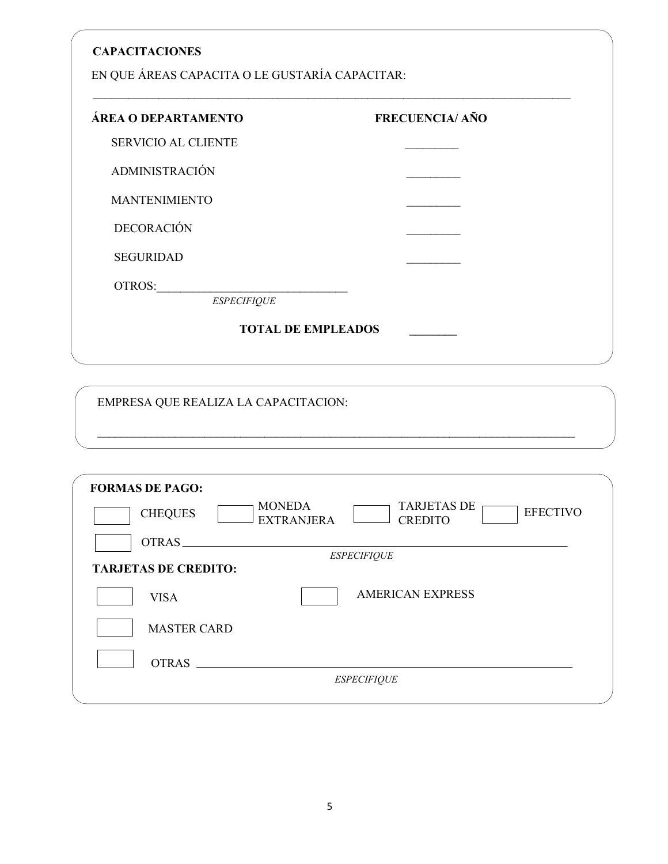| ÁREA O DEPARTAMENTO        | <b>FRECUENCIA/ AÑO</b> |
|----------------------------|------------------------|
| <b>SERVICIO AL CLIENTE</b> |                        |
| <b>ADMINISTRACIÓN</b>      |                        |
| <b>MANTENIMIENTO</b>       |                        |
| <b>DECORACIÓN</b>          |                        |
| <b>SEGURIDAD</b>           |                        |
| OTROS:                     |                        |

EMPRESA QUE REALIZA LA CAPACITACION:

| <b>FORMAS DE PAGO:</b>      |                                    |                                                         |
|-----------------------------|------------------------------------|---------------------------------------------------------|
| <b>CHEQUES</b>              | <b>MONEDA</b><br><b>EXTRANJERA</b> | <b>TARJETAS DE</b><br><b>EFECTIVO</b><br><b>CREDITO</b> |
| <b>OTRAS</b>                |                                    |                                                         |
| <b>TARJETAS DE CREDITO:</b> |                                    | <b>ESPECIFIQUE</b>                                      |
| <b>VISA</b>                 |                                    | <b>AMERICAN EXPRESS</b>                                 |
| <b>MASTER CARD</b>          |                                    |                                                         |
| <b>OTRAS</b>                |                                    |                                                         |
|                             |                                    | <b>ESPECIFIQUE</b>                                      |
|                             |                                    |                                                         |

 $\mathcal{L}_\text{max} = \mathcal{L}_\text{max} = \mathcal{L}_\text{max} = \mathcal{L}_\text{max} = \mathcal{L}_\text{max} = \mathcal{L}_\text{max} = \mathcal{L}_\text{max} = \mathcal{L}_\text{max} = \mathcal{L}_\text{max} = \mathcal{L}_\text{max} = \mathcal{L}_\text{max} = \mathcal{L}_\text{max} = \mathcal{L}_\text{max} = \mathcal{L}_\text{max} = \mathcal{L}_\text{max} = \mathcal{L}_\text{max} = \mathcal{L}_\text{max} = \mathcal{L}_\text{max} = \mathcal{$